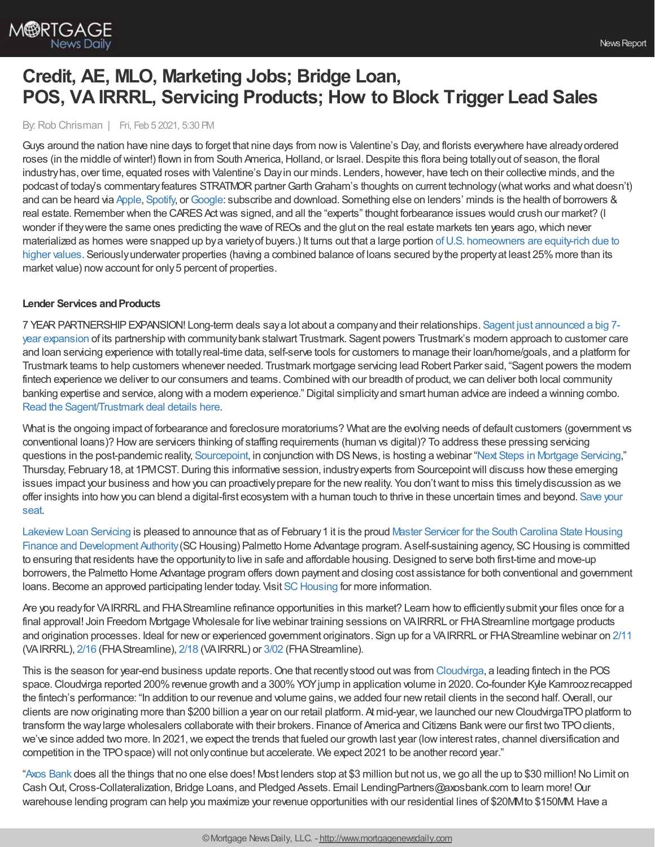

# **Credit, AE, MLO, Marketing Jobs; Bridge Loan, POS, VA IRRRL, Servicing Products; How to Block Trigger Lead Sales**

By:Rob Chrisman | Fri, Feb 5 2021, 5:30 PM

Guys around the nation have nine days to forget that nine days from nowis Valentine's Day, and florists everywhere have alreadyordered roses (in the middle of winter!) flown in from South America, Holland, or Israel. Despite this flora being totally out of season, the floral industryhas, over time, equated roses with Valentine's Dayin our minds. Lenders, however, have tech on their collective minds, and the podcast of today's commentary features STRATMOR partner Garth Graham's thoughts on current technology (what works and what doesn't) and can be heard via [Apple](https://podcasts.apple.com/us/podcast/chrisman-commentary-daily-mortgage-news/id1550709357), [Spotify,](https://open.spotify.com/show/3XsABmcuSD7vdYjfE8QlyO) or [Google](https://podcasts.google.com/feed/aHR0cHM6Ly9mZWVkcy5idXp6c3Byb3V0LmNvbS8xNTk3ODczLnJzcw==): subscribe and download. Something else on lenders' minds is the health of borrowers & real estate. Remember when the CARES Act was signed, and all the "experts" thought forbearance issues would crush our market? (I wonder if they were the same ones predicting the wave of REOs and the glut on the real estate markets ten years ago, which never materialized as homes were snapped up bya varietyof buyers.) It turns out that a large portion ofU.S. homeowners are equity-rich due to higher values. Seriously underwater properties (having a combined balance of loans secured by the property at least 25% more than its market value) now account for only 5 percent of properties.

### **Lender Services and Products**

7 [YEARPARTNERSHIPEXPANSION!](https://sagent.com/2021/02/04/trustmark-expands-sagent-partnership-for-7-years/?utm_source=Advertisement&utm_medium=Chrisman%20Daily%20Commentary%20-%20Email&utm_campaign=Web%20Content%20%257C%202021-02-04%20Trustmark%20Renewal%20Press%20Release) Long-term deals saya lot about a companyand their relationships. Sagent just announced a big 7 year expansion of its partnership with communitybank stalwart Trustmark. Sagent powers Trustmark's modern approach to customer care and loan servicing experience with totallyreal-time data, self-serve tools for customers to manage their loan/home/goals, and a platform for Trustmark teams to help customers whenever needed. Trustmark mortgage servicing lead Robert Parker said, "Sagent powers the modern fintech experience we deliver to our consumers and teams. Combined with our breadth of product, we can deliver both local community banking expertise and service, along with a modern experience." Digital simplicityand smart human advice are indeed a winning combo. Read the [Sagent/Trustmark](https://sagent.com/2021/02/04/trustmark-expands-sagent-partnership-for-7-years/?utm_source=Advertisement&utm_medium=Chrisman%20Daily%20Commentary%20-%20Email&utm_campaign=Web%20Content%20%257C%202021-02-04%20Trustmark%20Renewal%20Press%20Release) deal details here.

What is the ongoing impact of forbearance and foreclosure moratoriums? What are the evolving needs of default customers (government vs conventional loans)? Howare servicers thinking of staffing requirements (human vs digital)? To address these pressing servicing questions in the post-pandemic reality, [Sourcepoint,](http://www.sourcepointmortgage.com/mortgage-servicing-solutions/) in conjunction with DS News, is hosting a webinar "Next Steps in [Mortgage](https://thefivestarinstitute1.createsend.com/campaigns/reports/viewCampaign.aspx?d=j&c=C0B8B6A005A0BEE6&ID=B8186D79D06220512540EF23F30FEDED&temp=False&tx=0&source=SnapshotHtml) Servicing," Thursday, February 18, at 1PMCST. During this informative session, industry experts from Sourcepoint will discuss how these emerging issues impact your business and howyou can proactivelyprepare for the newreality. You don'twant to miss this timelydiscussion as we offer insights into howyou can blend a digital-first [ecosystem](https://attendee.gotowebinar.com/register/780185275604134670) with a human touch to thrive in these uncertain times and beyond. Save your seat.

Lakeview Loan Servicing is pleased to announce that as of February 1 it is the proud Master Servicer for the South Carolina State Housing Finance and Development Authority (SC Housing) Palmetto Home Advantage program. Aself-sustaining agency, SC Housing is committed to ensuring that residents have the opportunity to live in safe and affordable housing. Designed to serve both first-time and move-up borrowers, the Palmetto Home Advantage program offers down payment and closing cost assistance for both conventional and government loans. Become an approved participating lender today. Visit SC Housing for more information.

Are you readyfor VAIRRRL and FHAStreamline refinance opportunities in this market? Learn howto efficientlysubmit your files once for a final approval! Join Freedom Mortgage Wholesale for live webinar training sessions on VAIRRRL or FHAStreamline mortgage products and origination processes. Ideal for newor experienced government originators. Sign up for a VAIRRRL or FHAStreamline webinar on [2/11](https://freedom.zoom.us/j/89686389253) (VAIRRRL), [2/16](https://freedom.zoom.us/j/89157187747) (FHAStreamline), [2/18](https://freedom.zoom.us/j/82014230107) (VAIRRRL) or [3/02](https://freedom.zoom.us/j/82383216401) (FHAStreamline).

This is the season for year-end business update reports. One that recently stood out was from [Cloudvirga](http://cloudvirga.com/), a leading fintech in the POS space. Cloudvirga reported 200% revenue growth and a 300% YOY jump in application volume in 2020. Co-founder Kyle Kamrooz recapped the fintech's performance: "In addition to our revenue and volume gains, we added four new retail clients in the second half. Overall, our clients are now originating more than \$200 billion a year on our retail platform. At mid-year, we launched our new CloudvirgaTPO platform to transform the waylarge wholesalers collaborate with their brokers. Finance of America and Citizens Bankwere our first two TPOclients, we've since added two more. In 2021, we expect the trends that fueled our growth last year (low interest rates, channel diversification and competition in the TPOspace) will not onlycontinue but accelerate. We expect 2021 to be another record year."

"Axos [Bank](https://www.axosbank.com/Partners/Wholesale-Lending?utm_campaign=01589_wcpl_wcplchrisman&utm_medium=referral&utm_source=chrismanblog&utm_content=companyinfo_link) does all the things that no one else does! Most lenders stop at \$3 million but not us, we go all the up to \$30 million! No Limit on Cash Out, Cross-Collateralization, Bridge Loans, and Pledged Assets. Email LendingPartners@axosbank.com to learn more! Our warehouse lending program can help you maximize your revenue opportunities with our residential lines of \$20MMto \$150MM.Have a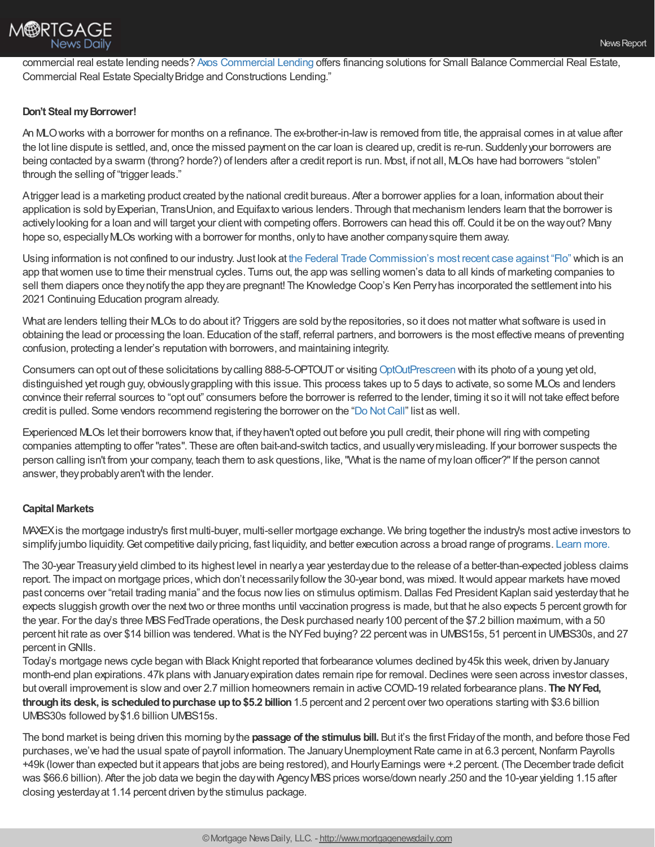commercial real estate lending needs? Axos [Commercial](https://www.axosbank.com/Business/Commercial-Lending) Lending offers financing solutions for Small Balance Commercial Real Estate, Commercial Real Estate Specialty Bridge and Constructions Lending."

## **Don't Steal my Borrower!**

An MLOworks with a borrower for months on a refinance. The ex-brother-in-lawis removed from title, the appraisal comes in at value after the lot line dispute is settled, and, once the missed payment on the car loan is cleared up, credit is re-run. Suddenlyyour borrowers are being contacted bya swarm (throng? horde?) of lenders after a credit report is run. Most, if not all, MLOs have had borrowers "stolen" through the selling of "trigger leads."

Atrigger lead is a marketing product created bythe national credit bureaus. After a borrower applies for a loan, information about their application is sold byExperian, TransUnion, and Equifaxto various lenders. Through that mechanism lenders learn that the borrower is actively looking for a loan and will target your client with competing offers. Borrowers can head this off. Could it be on the way out? Many hope so, especiallyMLOs working with a borrower for months, onlyto have another companysquire them away.

Using information is not confined to our industry. Just look at the Federal Trade [Commission's](https://www.ftc.gov/enforcement/cases-proceedings/1923133/flo-health-inc) most recent case against "Flo" which is an app that women use to time their menstrual cycles. Turns out, the app was selling women's data to all kinds of marketing companies to sell them diapers once they notify the app they are pregnant! The Knowledge Coop's Ken Perry has incorporated the settlement into his 2021 Continuing Education program already.

What are lenders telling their MLOs to do about it? Triggers are sold by the repositories, so it does not matter what software is used in obtaining the lead or processing the loan. Education of the staff, referral partners, and borrowers is the most effective means of preventing confusion, protecting a lender's reputation with borrowers, and maintaining integrity.

Consumers can opt out of these solicitations by calling 888-5-OPTOUT or visiting [OptOutPrescreen](https://www.optoutprescreen.com/) with its photo of a young yet old, distinguished yet rough guy, obviouslygrappling with this issue. This process takes up to 5 days to activate, so some MLOs and lenders convince their referral sources to "opt out" consumers before the borrower is referred to the lender, timing it so itwill not take effect before credit is pulled. Some vendors recommend registering the borrower on the "Do Not Call" list as well.

Experienced MLOs let their borrowers knowthat, if theyhaven't opted out before you pull credit, their phone will ring with competing companies attempting to offer "rates". These are often bait-and-switch tactics, and usuallyverymisleading. If your borrower suspects the person calling isn't from your company, teach them to ask questions, like,"What is the name of myloan officer?"If the person cannot answer, they probably aren't with the lender.

## **Capital Markets**

MAXEXis the mortgage industry's first multi-buyer, multi-seller mortgage exchange. We bring together the industry's most active investors to simplify jumbo liquidity. Get competitive daily pricing, fast liquidity, and better execution across a broad range of programs. [Learn](https://go.maxex.com/jumbo-liquidity/) more.

The 30-year Treasuryyield climbed to its highest level in nearlya year yesterdaydue to the release of a better-than-expected jobless claims report. The impact on mortgage prices,which don't necessarilyfollowthe 30-year bond,was mixed. Itwould appear markets have moved past concerns over "retail trading mania" and the focus now lies on stimulus optimism. Dallas Fed President Kaplan said yesterday that he expects sluggish growth over the next two or three months until vaccination progress is made, but that he also expects 5 percent growth for the year. For the day's three MBS FedTrade operations, the Desk purchased nearly 100 percent of the \$7.2 billion maximum, with a 50 percent hit rate as over \$14 billion was tendered. What is the NYFed buying? 22 percent was in UMBS15s, 51 percent in UMBS30s, and 27 percent inGNIIs.

Today's mortgage news cycle began with Black Knight reported that forbearance volumes declined by45k this week, driven byJanuary month-end plan expirations. 47k plans with January expiration dates remain ripe for removal. Declines were seen across investor classes, but overall improvement is slowand over 2.7 million homeowners remain in active COVID-19 related forbearance plans. **The NYFed, through its desk, is scheduled to purchase up to \$5.2 billion 1.5 percent and 2 percent over two operations starting with \$3.6 billion** UMBS30s followed by\$1.6 billion UMBS15s.

The bond market is being driven this morning bythe **passage of the stimulus bill.** But it's the first Fridayof the month, and before those Fed purchases, we've had the usual spate of payroll information. The January Unemployment Rate came in at 6.3 percent, Nonfarm Payrolls +49k (lower than expected but it appears that jobs are being restored), and HourlyEarnings were +.2 percent. (The December trade deficit was \$66.6 billion). After the job data we begin the day with Agency MBS prices worse/down nearly. 250 and the 10-year yielding 1.15 after closing yesterdayat 1.14 percent driven bythe stimulus package.